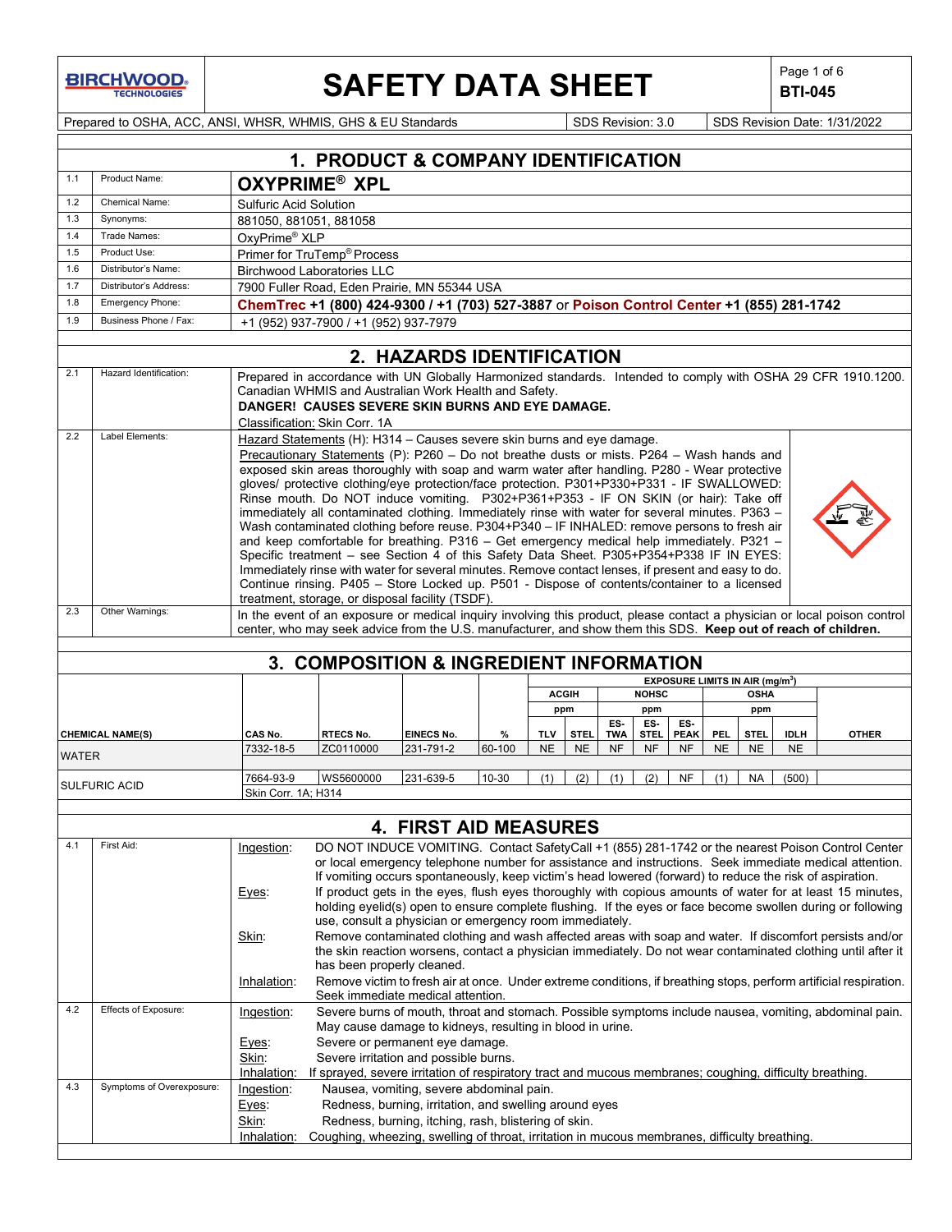**BIRCHWOOD** 

# **SAFETY DATA SHEET**  $\left|\begin{array}{c} \text{Page 1 of 6} \\ \text{BIT-045} \end{array}\right|$

**BTI-045**

Prepared to OSHA, ACC, ANSI, WHSR, WHMIS, GHS & EU Standards Superinted SDS Revision: 3.0 SDS Revision Date: 1/31/2022

|              |                           |                               | 1. PRODUCT & COMPANY IDENTIFICATION                                                                                                                                                             |                                                        |           |            |              |            |              |                    |            |                                             |             |                                                                                                                                                                                                             |
|--------------|---------------------------|-------------------------------|-------------------------------------------------------------------------------------------------------------------------------------------------------------------------------------------------|--------------------------------------------------------|-----------|------------|--------------|------------|--------------|--------------------|------------|---------------------------------------------|-------------|-------------------------------------------------------------------------------------------------------------------------------------------------------------------------------------------------------------|
| 1.1          | Product Name:             |                               | <b>OXYPRIME<sup>®</sup> XPL</b>                                                                                                                                                                 |                                                        |           |            |              |            |              |                    |            |                                             |             |                                                                                                                                                                                                             |
| 1.2          | Chemical Name:            | <b>Sulfuric Acid Solution</b> |                                                                                                                                                                                                 |                                                        |           |            |              |            |              |                    |            |                                             |             |                                                                                                                                                                                                             |
| 1.3          | Synonyms:                 | 881050, 881051, 881058        |                                                                                                                                                                                                 |                                                        |           |            |              |            |              |                    |            |                                             |             |                                                                                                                                                                                                             |
| 1.4          | Trade Names:              | OxyPrime® XLP                 |                                                                                                                                                                                                 |                                                        |           |            |              |            |              |                    |            |                                             |             |                                                                                                                                                                                                             |
| 1.5          | Product Use:              |                               | Primer for TruTemp® Process                                                                                                                                                                     |                                                        |           |            |              |            |              |                    |            |                                             |             |                                                                                                                                                                                                             |
| 1.6          | Distributor's Name:       |                               | <b>Birchwood Laboratories LLC</b>                                                                                                                                                               |                                                        |           |            |              |            |              |                    |            |                                             |             |                                                                                                                                                                                                             |
| 1.7          | Distributor's Address:    |                               | 7900 Fuller Road, Eden Prairie, MN 55344 USA                                                                                                                                                    |                                                        |           |            |              |            |              |                    |            |                                             |             |                                                                                                                                                                                                             |
| 1.8          | Emergency Phone:          |                               | ChemTrec +1 (800) 424-9300 / +1 (703) 527-3887 or Poison Control Center +1 (855) 281-1742                                                                                                       |                                                        |           |            |              |            |              |                    |            |                                             |             |                                                                                                                                                                                                             |
| 1.9          | Business Phone / Fax:     |                               | +1 (952) 937-7900 / +1 (952) 937-7979                                                                                                                                                           |                                                        |           |            |              |            |              |                    |            |                                             |             |                                                                                                                                                                                                             |
|              |                           |                               |                                                                                                                                                                                                 | 2. HAZARDS IDENTIFICATION                              |           |            |              |            |              |                    |            |                                             |             |                                                                                                                                                                                                             |
| 2.1          | Hazard Identification:    |                               |                                                                                                                                                                                                 |                                                        |           |            |              |            |              |                    |            |                                             |             | Prepared in accordance with UN Globally Harmonized standards. Intended to comply with OSHA 29 CFR 1910.1200.                                                                                                |
|              |                           |                               | Canadian WHMIS and Australian Work Health and Safety.                                                                                                                                           |                                                        |           |            |              |            |              |                    |            |                                             |             |                                                                                                                                                                                                             |
|              |                           |                               | DANGER! CAUSES SEVERE SKIN BURNS AND EYE DAMAGE.                                                                                                                                                |                                                        |           |            |              |            |              |                    |            |                                             |             |                                                                                                                                                                                                             |
|              |                           |                               | Classification: Skin Corr. 1A                                                                                                                                                                   |                                                        |           |            |              |            |              |                    |            |                                             |             |                                                                                                                                                                                                             |
| 2.2          | Label Elements:           |                               | Hazard Statements (H): H314 - Causes severe skin burns and eye damage.                                                                                                                          |                                                        |           |            |              |            |              |                    |            |                                             |             |                                                                                                                                                                                                             |
|              |                           |                               | Precautionary Statements (P): P260 - Do not breathe dusts or mists. P264 - Wash hands and                                                                                                       |                                                        |           |            |              |            |              |                    |            |                                             |             |                                                                                                                                                                                                             |
|              |                           |                               | exposed skin areas thoroughly with soap and warm water after handling. P280 - Wear protective<br>gloves/ protective clothing/eye protection/face protection. P301+P330+P331 - IF SWALLOWED:     |                                                        |           |            |              |            |              |                    |            |                                             |             |                                                                                                                                                                                                             |
|              |                           |                               | Rinse mouth. Do NOT induce vomiting. P302+P361+P353 - IF ON SKIN (or hair): Take off                                                                                                            |                                                        |           |            |              |            |              |                    |            |                                             |             |                                                                                                                                                                                                             |
|              |                           |                               | immediately all contaminated clothing. Immediately rinse with water for several minutes. P363 -                                                                                                 |                                                        |           |            |              |            |              |                    |            |                                             |             |                                                                                                                                                                                                             |
|              |                           |                               | Wash contaminated clothing before reuse. P304+P340 - IF INHALED: remove persons to fresh air                                                                                                    |                                                        |           |            |              |            |              |                    |            |                                             |             |                                                                                                                                                                                                             |
|              |                           |                               | and keep comfortable for breathing. P316 - Get emergency medical help immediately. P321 -                                                                                                       |                                                        |           |            |              |            |              |                    |            |                                             |             |                                                                                                                                                                                                             |
|              |                           |                               | Specific treatment - see Section 4 of this Safety Data Sheet. P305+P354+P338 IF IN EYES:<br>Immediately rinse with water for several minutes. Remove contact lenses, if present and easy to do. |                                                        |           |            |              |            |              |                    |            |                                             |             |                                                                                                                                                                                                             |
|              |                           |                               | Continue rinsing. P405 - Store Locked up. P501 - Dispose of contents/container to a licensed                                                                                                    |                                                        |           |            |              |            |              |                    |            |                                             |             |                                                                                                                                                                                                             |
|              |                           |                               | treatment, storage, or disposal facility (TSDF).                                                                                                                                                |                                                        |           |            |              |            |              |                    |            |                                             |             |                                                                                                                                                                                                             |
| 2.3          | Other Warnings:           |                               |                                                                                                                                                                                                 |                                                        |           |            |              |            |              |                    |            |                                             |             | In the event of an exposure or medical inquiry involving this product, please contact a physician or local poison control                                                                                   |
|              |                           |                               | center, who may seek advice from the U.S. manufacturer, and show them this SDS. Keep out of reach of children.                                                                                  |                                                        |           |            |              |            |              |                    |            |                                             |             |                                                                                                                                                                                                             |
|              |                           |                               | 3. COMPOSITION & INGREDIENT INFORMATION                                                                                                                                                         |                                                        |           |            |              |            |              |                    |            |                                             |             |                                                                                                                                                                                                             |
|              |                           |                               |                                                                                                                                                                                                 |                                                        |           |            |              |            |              |                    |            | EXPOSURE LIMITS IN AIR (mg/m <sup>3</sup> ) |             |                                                                                                                                                                                                             |
|              |                           |                               |                                                                                                                                                                                                 |                                                        |           |            | <b>ACGIH</b> |            | <b>NOHSC</b> |                    |            | <b>OSHA</b>                                 |             |                                                                                                                                                                                                             |
|              |                           |                               |                                                                                                                                                                                                 |                                                        |           |            | ppm          |            | ppm          |                    |            | ppm                                         |             |                                                                                                                                                                                                             |
|              | <b>CHEMICAL NAME(S)</b>   | CAS No.                       | <b>RTECS No.</b>                                                                                                                                                                                | <b>EINECS No.</b>                                      | %         | <b>TLV</b> | <b>STEL</b>  | ES-<br>TWA | ES-<br>STEL. | ES-<br><b>PEAK</b> | <b>PEL</b> | <b>STEL</b>                                 | <b>IDLH</b> | <b>OTHER</b>                                                                                                                                                                                                |
|              |                           | 7332-18-5                     | ZC0110000                                                                                                                                                                                       | 231-791-2                                              | 60-100    | <b>NE</b>  | <b>NE</b>    | <b>NF</b>  | <b>NF</b>    | <b>NF</b>          | <b>NE</b>  | <b>NE</b>                                   | <b>NE</b>   |                                                                                                                                                                                                             |
| <b>WATER</b> |                           |                               |                                                                                                                                                                                                 |                                                        |           |            |              |            |              |                    |            |                                             |             |                                                                                                                                                                                                             |
|              | <b>SULFURIC ACID</b>      | 7664-93-9                     | WS5600000                                                                                                                                                                                       | 231-639-5                                              | $10 - 30$ | (1)        | (2)          | (1)        | (2)          | <b>NF</b>          | (1)        | <b>NA</b>                                   | (500)       |                                                                                                                                                                                                             |
|              |                           | Skin Corr. 1A; H314           |                                                                                                                                                                                                 |                                                        |           |            |              |            |              |                    |            |                                             |             |                                                                                                                                                                                                             |
|              |                           |                               |                                                                                                                                                                                                 | <b>4. FIRST AID MEASURES</b>                           |           |            |              |            |              |                    |            |                                             |             |                                                                                                                                                                                                             |
| 4.1          | First Aid:                |                               |                                                                                                                                                                                                 |                                                        |           |            |              |            |              |                    |            |                                             |             |                                                                                                                                                                                                             |
|              |                           | Ingestion:                    |                                                                                                                                                                                                 |                                                        |           |            |              |            |              |                    |            |                                             |             | DO NOT INDUCE VOMITING. Contact SafetyCall +1 (855) 281-1742 or the nearest Poison Control Center<br>or local emergency telephone number for assistance and instructions. Seek immediate medical attention. |
|              |                           |                               | If vomiting occurs spontaneously, keep victim's head lowered (forward) to reduce the risk of aspiration.                                                                                        |                                                        |           |            |              |            |              |                    |            |                                             |             |                                                                                                                                                                                                             |
|              |                           | Eyes:                         |                                                                                                                                                                                                 |                                                        |           |            |              |            |              |                    |            |                                             |             | If product gets in the eyes, flush eyes thoroughly with copious amounts of water for at least 15 minutes,                                                                                                   |
|              |                           |                               |                                                                                                                                                                                                 |                                                        |           |            |              |            |              |                    |            |                                             |             | holding eyelid(s) open to ensure complete flushing. If the eyes or face become swollen during or following                                                                                                  |
|              |                           |                               | use, consult a physician or emergency room immediately.                                                                                                                                         |                                                        |           |            |              |            |              |                    |            |                                             |             |                                                                                                                                                                                                             |
|              |                           | Skin:                         |                                                                                                                                                                                                 |                                                        |           |            |              |            |              |                    |            |                                             |             | Remove contaminated clothing and wash affected areas with soap and water. If discomfort persists and/or                                                                                                     |
|              |                           |                               | has been properly cleaned.                                                                                                                                                                      |                                                        |           |            |              |            |              |                    |            |                                             |             | the skin reaction worsens, contact a physician immediately. Do not wear contaminated clothing until after it                                                                                                |
|              |                           | Inhalation:                   |                                                                                                                                                                                                 |                                                        |           |            |              |            |              |                    |            |                                             |             | Remove victim to fresh air at once. Under extreme conditions, if breathing stops, perform artificial respiration.                                                                                           |
|              |                           |                               | Seek immediate medical attention.                                                                                                                                                               |                                                        |           |            |              |            |              |                    |            |                                             |             |                                                                                                                                                                                                             |
| 4.2          | Effects of Exposure:      | Ingestion:                    |                                                                                                                                                                                                 |                                                        |           |            |              |            |              |                    |            |                                             |             | Severe burns of mouth, throat and stomach. Possible symptoms include nausea, vomiting, abdominal pain.                                                                                                      |
|              |                           | Eyes:                         | May cause damage to kidneys, resulting in blood in urine.<br>Severe or permanent eye damage.                                                                                                    |                                                        |           |            |              |            |              |                    |            |                                             |             |                                                                                                                                                                                                             |
|              |                           | Skin:                         | Severe irritation and possible burns.                                                                                                                                                           |                                                        |           |            |              |            |              |                    |            |                                             |             |                                                                                                                                                                                                             |
|              |                           | Inhalation:                   | If sprayed, severe irritation of respiratory tract and mucous membranes; coughing, difficulty breathing.                                                                                        |                                                        |           |            |              |            |              |                    |            |                                             |             |                                                                                                                                                                                                             |
| 4.3          | Symptoms of Overexposure: | Ingestion:                    |                                                                                                                                                                                                 | Nausea, vomiting, severe abdominal pain.               |           |            |              |            |              |                    |            |                                             |             |                                                                                                                                                                                                             |
|              |                           | Eyes:                         |                                                                                                                                                                                                 | Redness, burning, irritation, and swelling around eyes |           |            |              |            |              |                    |            |                                             |             |                                                                                                                                                                                                             |
|              |                           | Skin:                         | Redness, burning, itching, rash, blistering of skin.                                                                                                                                            |                                                        |           |            |              |            |              |                    |            |                                             |             |                                                                                                                                                                                                             |
|              |                           |                               |                                                                                                                                                                                                 |                                                        |           |            |              |            |              |                    |            |                                             |             |                                                                                                                                                                                                             |
|              |                           | Inhalation:                   | Coughing, wheezing, swelling of throat, irritation in mucous membranes, difficulty breathing.                                                                                                   |                                                        |           |            |              |            |              |                    |            |                                             |             |                                                                                                                                                                                                             |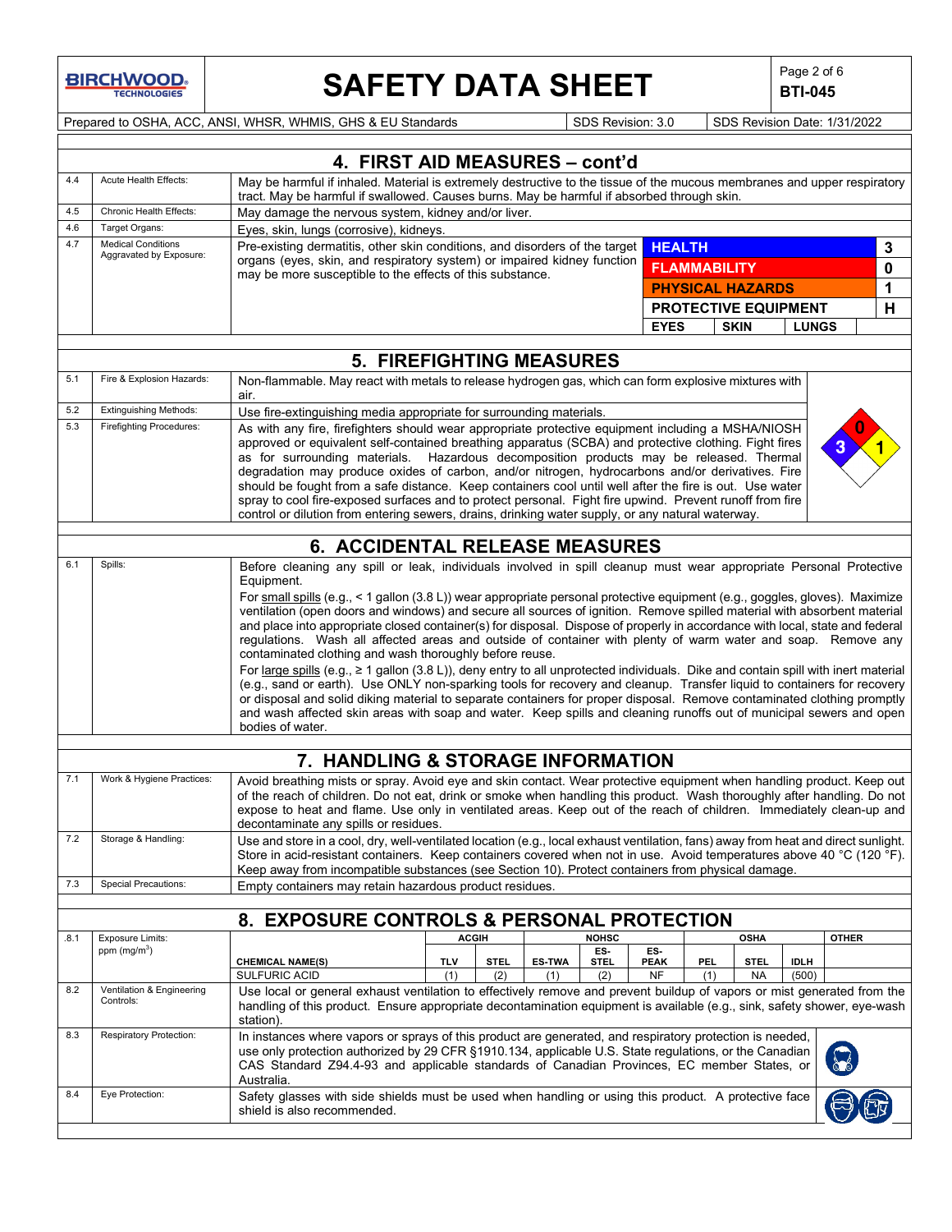**BIRCHWOOD** 

 $\mathbf{I}$ 

# **SAFETY DATA SHEET**  $\left|\begin{array}{c} \text{Page 2 of 6} \\ \text{BIT-045} \end{array}\right|$

**BTI-045**

Prepared to OSHA, ACC, ANSI, WHSR, WHMIS, GHS & EU Standards Superinted SDS Revision: 3.0 SDS Revision Date: 1/31/2022

|      |                                                                                                                                                                                                                                                                                                                                                                                                                                               |                                                                                                                                                                                                                                                                                                                                                                                                                                                                                                                                                                                                                                                                                                                                                                                                                                                                                                                                                                                                                                                                                                                                                                                                                                                     | 4. FIRST AID MEASURES - cont'd          |                      |                    |                          |                     |                                            |                      |              |
|------|-----------------------------------------------------------------------------------------------------------------------------------------------------------------------------------------------------------------------------------------------------------------------------------------------------------------------------------------------------------------------------------------------------------------------------------------------|-----------------------------------------------------------------------------------------------------------------------------------------------------------------------------------------------------------------------------------------------------------------------------------------------------------------------------------------------------------------------------------------------------------------------------------------------------------------------------------------------------------------------------------------------------------------------------------------------------------------------------------------------------------------------------------------------------------------------------------------------------------------------------------------------------------------------------------------------------------------------------------------------------------------------------------------------------------------------------------------------------------------------------------------------------------------------------------------------------------------------------------------------------------------------------------------------------------------------------------------------------|-----------------------------------------|----------------------|--------------------|--------------------------|---------------------|--------------------------------------------|----------------------|--------------|
| 4.4  | Acute Health Effects:<br>May be harmful if inhaled. Material is extremely destructive to the tissue of the mucous membranes and upper respiratory<br>tract. May be harmful if swallowed. Causes burns. May be harmful if absorbed through skin.                                                                                                                                                                                               |                                                                                                                                                                                                                                                                                                                                                                                                                                                                                                                                                                                                                                                                                                                                                                                                                                                                                                                                                                                                                                                                                                                                                                                                                                                     |                                         |                      |                    |                          |                     |                                            |                      |              |
| 4.5  | Chronic Health Effects:                                                                                                                                                                                                                                                                                                                                                                                                                       | May damage the nervous system, kidney and/or liver.                                                                                                                                                                                                                                                                                                                                                                                                                                                                                                                                                                                                                                                                                                                                                                                                                                                                                                                                                                                                                                                                                                                                                                                                 |                                         |                      |                    |                          |                     |                                            |                      |              |
| 4.6  | Target Organs:                                                                                                                                                                                                                                                                                                                                                                                                                                |                                                                                                                                                                                                                                                                                                                                                                                                                                                                                                                                                                                                                                                                                                                                                                                                                                                                                                                                                                                                                                                                                                                                                                                                                                                     | Eyes, skin, lungs (corrosive), kidneys. |                      |                    |                          |                     |                                            |                      |              |
| 4.7  | <b>Medical Conditions</b><br>Aggravated by Exposure:                                                                                                                                                                                                                                                                                                                                                                                          | Pre-existing dermatitis, other skin conditions, and disorders of the target                                                                                                                                                                                                                                                                                                                                                                                                                                                                                                                                                                                                                                                                                                                                                                                                                                                                                                                                                                                                                                                                                                                                                                         |                                         |                      |                    | <b>HEALTH</b>            |                     |                                            |                      | 3            |
|      |                                                                                                                                                                                                                                                                                                                                                                                                                                               | organs (eyes, skin, and respiratory system) or impaired kidney function                                                                                                                                                                                                                                                                                                                                                                                                                                                                                                                                                                                                                                                                                                                                                                                                                                                                                                                                                                                                                                                                                                                                                                             |                                         |                      |                    |                          | <b>FLAMMABILITY</b> |                                            |                      | $\mathbf 0$  |
|      |                                                                                                                                                                                                                                                                                                                                                                                                                                               | may be more susceptible to the effects of this substance.                                                                                                                                                                                                                                                                                                                                                                                                                                                                                                                                                                                                                                                                                                                                                                                                                                                                                                                                                                                                                                                                                                                                                                                           |                                         |                      |                    |                          |                     | <b>PHYSICAL HAZARDS</b>                    |                      | 1            |
|      |                                                                                                                                                                                                                                                                                                                                                                                                                                               |                                                                                                                                                                                                                                                                                                                                                                                                                                                                                                                                                                                                                                                                                                                                                                                                                                                                                                                                                                                                                                                                                                                                                                                                                                                     |                                         |                      |                    |                          |                     |                                            |                      | н            |
|      |                                                                                                                                                                                                                                                                                                                                                                                                                                               |                                                                                                                                                                                                                                                                                                                                                                                                                                                                                                                                                                                                                                                                                                                                                                                                                                                                                                                                                                                                                                                                                                                                                                                                                                                     |                                         |                      |                    | <b>EYES</b>              |                     | <b>PROTECTIVE EQUIPMENT</b><br><b>SKIN</b> | <b>LUNGS</b>         |              |
|      |                                                                                                                                                                                                                                                                                                                                                                                                                                               |                                                                                                                                                                                                                                                                                                                                                                                                                                                                                                                                                                                                                                                                                                                                                                                                                                                                                                                                                                                                                                                                                                                                                                                                                                                     |                                         |                      |                    |                          |                     |                                            |                      |              |
|      |                                                                                                                                                                                                                                                                                                                                                                                                                                               |                                                                                                                                                                                                                                                                                                                                                                                                                                                                                                                                                                                                                                                                                                                                                                                                                                                                                                                                                                                                                                                                                                                                                                                                                                                     | 5. FIREFIGHTING MEASURES                |                      |                    |                          |                     |                                            |                      |              |
| 5.1  | Fire & Explosion Hazards:                                                                                                                                                                                                                                                                                                                                                                                                                     | Non-flammable. May react with metals to release hydrogen gas, which can form explosive mixtures with<br>air.                                                                                                                                                                                                                                                                                                                                                                                                                                                                                                                                                                                                                                                                                                                                                                                                                                                                                                                                                                                                                                                                                                                                        |                                         |                      |                    |                          |                     |                                            |                      |              |
| 5.2  | <b>Extinguishing Methods:</b>                                                                                                                                                                                                                                                                                                                                                                                                                 | Use fire-extinguishing media appropriate for surrounding materials.                                                                                                                                                                                                                                                                                                                                                                                                                                                                                                                                                                                                                                                                                                                                                                                                                                                                                                                                                                                                                                                                                                                                                                                 |                                         |                      |                    |                          |                     |                                            |                      |              |
| 5.3  | <b>Firefighting Procedures:</b>                                                                                                                                                                                                                                                                                                                                                                                                               | As with any fire, firefighters should wear appropriate protective equipment including a MSHA/NIOSH<br>approved or equivalent self-contained breathing apparatus (SCBA) and protective clothing. Fight fires<br>as for surrounding materials. Hazardous decomposition products may be released. Thermal<br>degradation may produce oxides of carbon, and/or nitrogen, hydrocarbons and/or derivatives. Fire<br>should be fought from a safe distance. Keep containers cool until well after the fire is out. Use water<br>spray to cool fire-exposed surfaces and to protect personal. Fight fire upwind. Prevent runoff from fire<br>control or dilution from entering sewers, drains, drinking water supply, or any natural waterway.                                                                                                                                                                                                                                                                                                                                                                                                                                                                                                              |                                         |                      |                    |                          |                     |                                            |                      |              |
|      |                                                                                                                                                                                                                                                                                                                                                                                                                                               | <b>6. ACCIDENTAL RELEASE MEASURES</b>                                                                                                                                                                                                                                                                                                                                                                                                                                                                                                                                                                                                                                                                                                                                                                                                                                                                                                                                                                                                                                                                                                                                                                                                               |                                         |                      |                    |                          |                     |                                            |                      |              |
| 6.1  | Spills:                                                                                                                                                                                                                                                                                                                                                                                                                                       | Before cleaning any spill or leak, individuals involved in spill cleanup must wear appropriate Personal Protective<br>Equipment.<br>For small spills (e.g., < 1 gallon (3.8 L)) wear appropriate personal protective equipment (e.g., goggles, gloves). Maximize<br>ventilation (open doors and windows) and secure all sources of ignition. Remove spilled material with absorbent material<br>and place into appropriate closed container(s) for disposal. Dispose of properly in accordance with local, state and federal<br>regulations. Wash all affected areas and outside of container with plenty of warm water and soap. Remove any<br>contaminated clothing and wash thoroughly before reuse.<br>For large spills (e.g., $\geq$ 1 gallon (3.8 L)), deny entry to all unprotected individuals. Dike and contain spill with inert material<br>(e.g., sand or earth). Use ONLY non-sparking tools for recovery and cleanup. Transfer liquid to containers for recovery<br>or disposal and solid diking material to separate containers for proper disposal. Remove contaminated clothing promptly<br>and wash affected skin areas with soap and water. Keep spills and cleaning runoffs out of municipal sewers and open<br>bodies of water. |                                         |                      |                    |                          |                     |                                            |                      |              |
|      |                                                                                                                                                                                                                                                                                                                                                                                                                                               |                                                                                                                                                                                                                                                                                                                                                                                                                                                                                                                                                                                                                                                                                                                                                                                                                                                                                                                                                                                                                                                                                                                                                                                                                                                     |                                         |                      |                    |                          |                     |                                            |                      |              |
|      | 7. HANDLING & STORAGE INFORMATION                                                                                                                                                                                                                                                                                                                                                                                                             |                                                                                                                                                                                                                                                                                                                                                                                                                                                                                                                                                                                                                                                                                                                                                                                                                                                                                                                                                                                                                                                                                                                                                                                                                                                     |                                         |                      |                    |                          |                     |                                            |                      |              |
| 7.1  | Work & Hygiene Practices:<br>Avoid breathing mists or spray. Avoid eye and skin contact. Wear protective equipment when handling product. Keep out<br>of the reach of children. Do not eat, drink or smoke when handling this product. Wash thoroughly after handling. Do not<br>expose to heat and flame. Use only in ventilated areas. Keep out of the reach of children. Immediately clean-up and<br>decontaminate any spills or residues. |                                                                                                                                                                                                                                                                                                                                                                                                                                                                                                                                                                                                                                                                                                                                                                                                                                                                                                                                                                                                                                                                                                                                                                                                                                                     |                                         |                      |                    |                          |                     |                                            |                      |              |
| 7.2  | Storage & Handling:                                                                                                                                                                                                                                                                                                                                                                                                                           | Use and store in a cool, dry, well-ventilated location (e.g., local exhaust ventilation, fans) away from heat and direct sunlight.<br>Store in acid-resistant containers. Keep containers covered when not in use. Avoid temperatures above 40 °C (120 °F).<br>Keep away from incompatible substances (see Section 10). Protect containers from physical damage.                                                                                                                                                                                                                                                                                                                                                                                                                                                                                                                                                                                                                                                                                                                                                                                                                                                                                    |                                         |                      |                    |                          |                     |                                            |                      |              |
| 7.3  | <b>Special Precautions:</b>                                                                                                                                                                                                                                                                                                                                                                                                                   | Empty containers may retain hazardous product residues.                                                                                                                                                                                                                                                                                                                                                                                                                                                                                                                                                                                                                                                                                                                                                                                                                                                                                                                                                                                                                                                                                                                                                                                             |                                         |                      |                    |                          |                     |                                            |                      |              |
|      |                                                                                                                                                                                                                                                                                                                                                                                                                                               |                                                                                                                                                                                                                                                                                                                                                                                                                                                                                                                                                                                                                                                                                                                                                                                                                                                                                                                                                                                                                                                                                                                                                                                                                                                     |                                         |                      |                    |                          |                     |                                            |                      |              |
|      |                                                                                                                                                                                                                                                                                                                                                                                                                                               | 8. EXPOSURE CONTROLS & PERSONAL PROTECTION                                                                                                                                                                                                                                                                                                                                                                                                                                                                                                                                                                                                                                                                                                                                                                                                                                                                                                                                                                                                                                                                                                                                                                                                          |                                         |                      |                    |                          |                     |                                            |                      |              |
| .8.1 | Exposure Limits:                                                                                                                                                                                                                                                                                                                                                                                                                              |                                                                                                                                                                                                                                                                                                                                                                                                                                                                                                                                                                                                                                                                                                                                                                                                                                                                                                                                                                                                                                                                                                                                                                                                                                                     | <b>ACGIH</b>                            |                      | <b>NOHSC</b>       |                          |                     | <b>OSHA</b>                                |                      | <b>OTHER</b> |
|      | ppm (mg/m <sup>3</sup> )                                                                                                                                                                                                                                                                                                                                                                                                                      |                                                                                                                                                                                                                                                                                                                                                                                                                                                                                                                                                                                                                                                                                                                                                                                                                                                                                                                                                                                                                                                                                                                                                                                                                                                     |                                         |                      | ES.                | ES-                      |                     |                                            |                      |              |
|      |                                                                                                                                                                                                                                                                                                                                                                                                                                               | <b>CHEMICAL NAME(S)</b><br><b>SULFURIC ACID</b>                                                                                                                                                                                                                                                                                                                                                                                                                                                                                                                                                                                                                                                                                                                                                                                                                                                                                                                                                                                                                                                                                                                                                                                                     | TLV<br><b>STEL</b><br>(2)<br>(1)        | <b>ES-TWA</b><br>(1) | <b>STEL</b><br>(2) | <b>PEAK</b><br><b>NF</b> | PEL<br>(1)          | <b>STEL</b><br>NA                          | <b>IDLH</b><br>(500) |              |
| 8.2  | Ventilation & Engineering<br>Controls:                                                                                                                                                                                                                                                                                                                                                                                                        | Use local or general exhaust ventilation to effectively remove and prevent buildup of vapors or mist generated from the<br>handling of this product. Ensure appropriate decontamination equipment is available (e.g., sink, safety shower, eye-wash<br>station)                                                                                                                                                                                                                                                                                                                                                                                                                                                                                                                                                                                                                                                                                                                                                                                                                                                                                                                                                                                     |                                         |                      |                    |                          |                     |                                            |                      |              |
| 8.3  | Respiratory Protection:                                                                                                                                                                                                                                                                                                                                                                                                                       | In instances where vapors or sprays of this product are generated, and respiratory protection is needed,<br>use only protection authorized by 29 CFR §1910.134, applicable U.S. State regulations, or the Canadian<br>CAS Standard Z94.4-93 and applicable standards of Canadian Provinces, EC member States, or<br>Australia.                                                                                                                                                                                                                                                                                                                                                                                                                                                                                                                                                                                                                                                                                                                                                                                                                                                                                                                      |                                         |                      |                    |                          |                     |                                            |                      |              |
| 8.4  | Eye Protection:                                                                                                                                                                                                                                                                                                                                                                                                                               | Safety glasses with side shields must be used when handling or using this product. A protective face<br>shield is also recommended.                                                                                                                                                                                                                                                                                                                                                                                                                                                                                                                                                                                                                                                                                                                                                                                                                                                                                                                                                                                                                                                                                                                 |                                         |                      |                    |                          |                     |                                            |                      |              |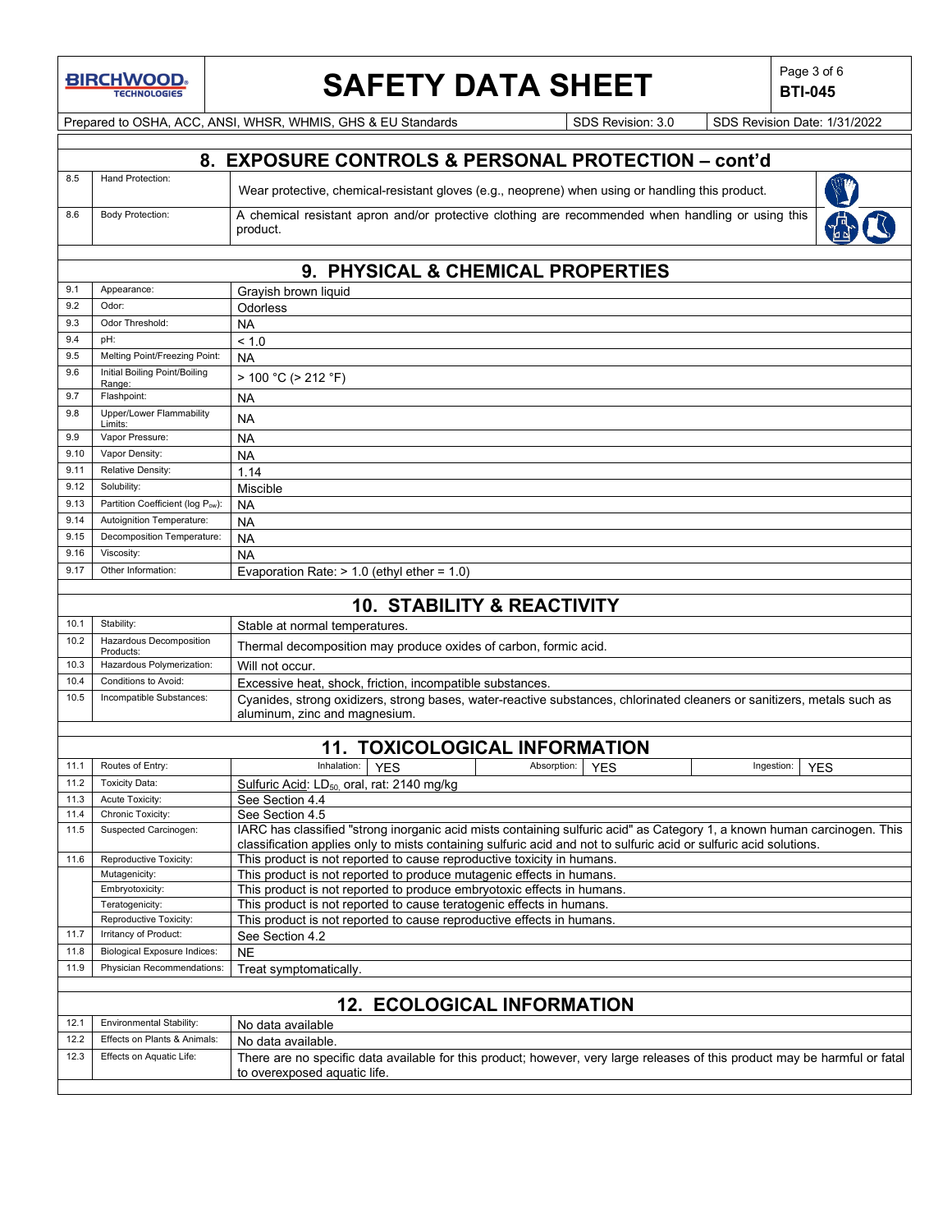

# **SAFETY DATA SHEET Page 3 of 6**<br>BTI-045

**BTI-045**

Prepared to OSHA, ACC, ANSI, WHSR, WHMIS, GHS & EU Standards Superinted SDS Revision: 3.0 SDS Revision Date: 1/31/2022

### **8. EXPOSURE CONTROLS & PERSONAL PROTECTION – cont'd** 8.5 Hand Protection: Wear protective, chemical-resistant gloves (e.g., neoprene) when using or handling this product. 8.6 Body Protection: A chemical resistant apron and/or protective clothing are recommended when handling or using this R product.

|      | 9. PHYSICAL & CHEMICAL PROPERTIES       |                                               |  |  |
|------|-----------------------------------------|-----------------------------------------------|--|--|
| 9.1  | Appearance:                             | Grayish brown liquid                          |  |  |
| 9.2  | Odor:                                   | <b>Odorless</b>                               |  |  |
| 9.3  | Odor Threshold:                         | <b>NA</b>                                     |  |  |
| 9.4  | pH:                                     | < 1.0                                         |  |  |
| 9.5  | Melting Point/Freezing Point:           | <b>NA</b>                                     |  |  |
| 9.6  | Initial Boiling Point/Boiling<br>Range: | > 100 °C (> 212 °F)                           |  |  |
| 9.7  | Flashpoint:                             | <b>NA</b>                                     |  |  |
| 9.8  | Upper/Lower Flammability<br>Limits:     | <b>NA</b>                                     |  |  |
| 9.9  | Vapor Pressure:                         | <b>NA</b>                                     |  |  |
| 9.10 | Vapor Density:                          | <b>NA</b>                                     |  |  |
| 9.11 | Relative Density:                       | 1.14                                          |  |  |
| 9.12 | Solubility:                             | Miscible                                      |  |  |
| 9.13 | Partition Coefficient (log Pow):        | <b>NA</b>                                     |  |  |
| 9.14 | Autoignition Temperature:               | <b>NA</b>                                     |  |  |
| 9.15 | Decomposition Temperature:              | <b>NA</b>                                     |  |  |
| 9.16 | Viscosity:                              | <b>NA</b>                                     |  |  |
| 9.17 | Other Information:                      | Evaporation Rate: $> 1.0$ (ethyl ether = 1.0) |  |  |
|      |                                         |                                               |  |  |

|      | <b>10. STABILITY &amp; REACTIVITY</b>       |                                                                                                                                                          |  |  |  |
|------|---------------------------------------------|----------------------------------------------------------------------------------------------------------------------------------------------------------|--|--|--|
| 10.1 | Stability:                                  | Stable at normal temperatures.                                                                                                                           |  |  |  |
| 10.2 | <b>Hazardous Decomposition</b><br>Products: | Thermal decomposition may produce oxides of carbon, formic acid.                                                                                         |  |  |  |
|      | 10.3 Hazardous Polymerization:              | Will not occur.                                                                                                                                          |  |  |  |
| 10.4 | Conditions to Avoid:                        | Excessive heat, shock, friction, incompatible substances.                                                                                                |  |  |  |
| 10.5 | Incompatible Substances:                    | Cyanides, strong oxidizers, strong bases, water-reactive substances, chlorinated cleaners or sanitizers, metals such as<br>aluminum, zinc and magnesium. |  |  |  |

## **11. TOXICOLOGICAL INFORMATION**

| 11.1 | Routes of Entry:                                                                        | Inhalation:<br><b>YES</b>                                                                                                                                                                                                                      | Absorption: | <b>YFS</b> | Ingestion: | <b>YES</b> |
|------|-----------------------------------------------------------------------------------------|------------------------------------------------------------------------------------------------------------------------------------------------------------------------------------------------------------------------------------------------|-------------|------------|------------|------------|
| 11.2 | <b>Toxicity Data:</b>                                                                   | Sulfuric Acid: LD <sub>50,</sub> oral, rat: 2140 mg/kg                                                                                                                                                                                         |             |            |            |            |
| 11.3 | Acute Toxicity:                                                                         | See Section 4.4                                                                                                                                                                                                                                |             |            |            |            |
| 11.4 | Chronic Toxicity:                                                                       | See Section 4.5                                                                                                                                                                                                                                |             |            |            |            |
| 11.5 | Suspected Carcinogen:                                                                   | IARC has classified "strong inorganic acid mists containing sulfuric acid" as Category 1, a known human carcinogen. This<br>classification applies only to mists containing sulfuric acid and not to sulfuric acid or sulfuric acid solutions. |             |            |            |            |
| 11.6 | Reproductive Toxicity:                                                                  | This product is not reported to cause reproductive toxicity in humans.                                                                                                                                                                         |             |            |            |            |
|      | Mutagenicity:                                                                           | This product is not reported to produce mutagenic effects in humans.                                                                                                                                                                           |             |            |            |            |
|      | Embryotoxicity:                                                                         | This product is not reported to produce embryotoxic effects in humans.                                                                                                                                                                         |             |            |            |            |
|      | This product is not reported to cause teratogenic effects in humans.<br>Teratogenicity: |                                                                                                                                                                                                                                                |             |            |            |            |
|      | Reproductive Toxicity:                                                                  | This product is not reported to cause reproductive effects in humans.                                                                                                                                                                          |             |            |            |            |
| 11.7 | Irritancy of Product:                                                                   | See Section 4.2                                                                                                                                                                                                                                |             |            |            |            |
| 11.8 | <b>Biological Exposure Indices:</b>                                                     | <b>NE</b>                                                                                                                                                                                                                                      |             |            |            |            |
| 11.9 | Physician Recommendations:                                                              | Treat symptomatically.                                                                                                                                                                                                                         |             |            |            |            |
|      |                                                                                         |                                                                                                                                                                                                                                                |             |            |            |            |
|      |                                                                                         | <b>12. ECOLOGICAL INFORMATION</b>                                                                                                                                                                                                              |             |            |            |            |
| 12.1 | <b>Environmental Stability:</b>                                                         | No data available                                                                                                                                                                                                                              |             |            |            |            |
| 12.2 | Effects on Plants & Animals:                                                            | No data available.                                                                                                                                                                                                                             |             |            |            |            |
| 12.3 | Effects on Aquatic Life:                                                                | There are no specific data available for this product; however, very large releases of this product may be harmful or fatal<br>to overexposed aquatic life.                                                                                    |             |            |            |            |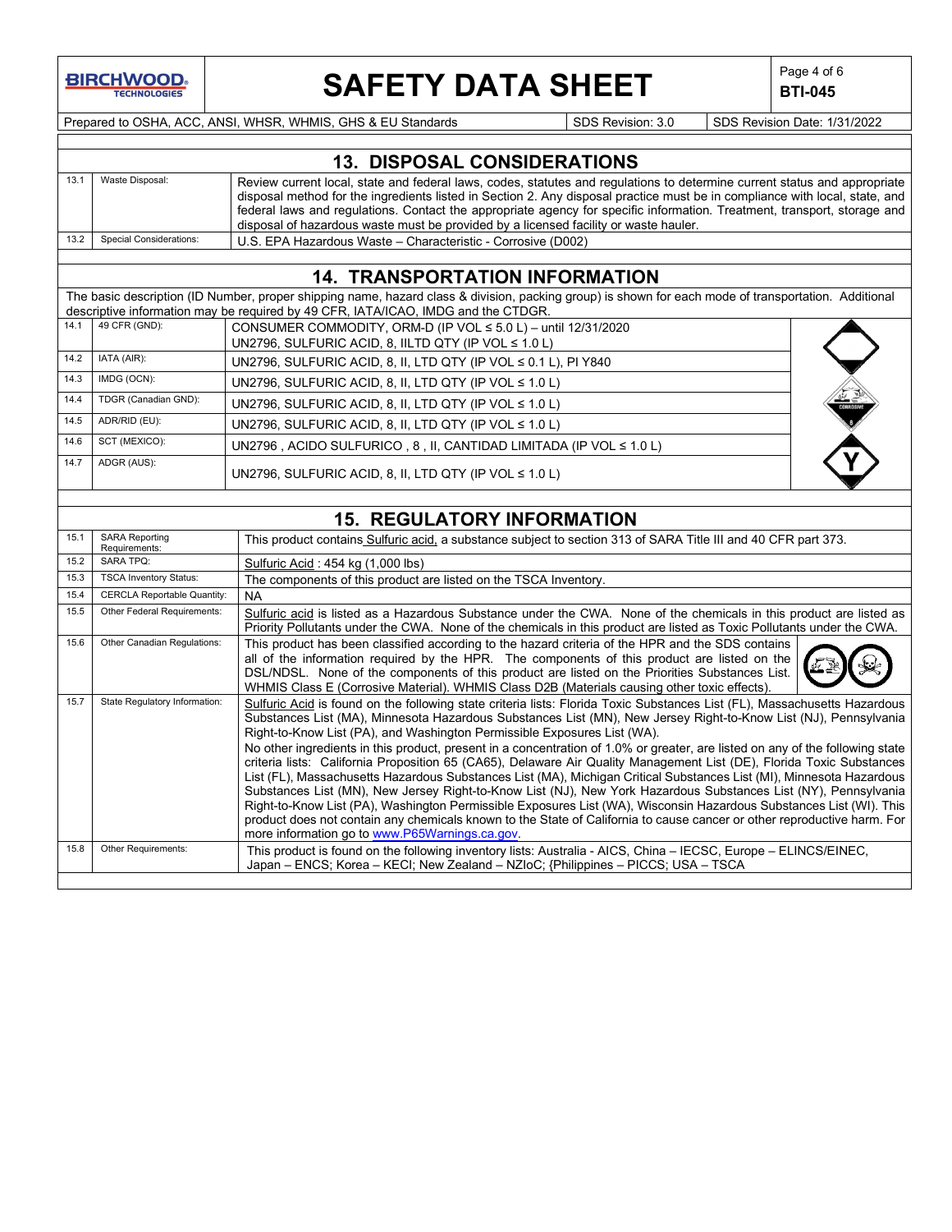

# **SAFETY DATA SHEET**  $\left|\begin{array}{c} \text{Page 4 of 6} \\ \text{BTI-045} \end{array}\right|$

**BTI-045**

Prepared to OSHA, ACC, ANSI, WHSR, WHMIS, GHS & EU Standards Superinted SDS Revision: 3.0 SDS Revision Date: 1/31/2022

|      | <b>13. DISPOSAL CONSIDERATIONS</b> |                                                                                                                                                                                                                                                                                                                                                                                                                                                                              |  |  |  |
|------|------------------------------------|------------------------------------------------------------------------------------------------------------------------------------------------------------------------------------------------------------------------------------------------------------------------------------------------------------------------------------------------------------------------------------------------------------------------------------------------------------------------------|--|--|--|
| 13.7 | Waste Disposal:                    | Review current local, state and federal laws, codes, statutes and regulations to determine current status and appropriate<br>disposal method for the ingredients listed in Section 2. Any disposal practice must be in compliance with local, state, and<br>federal laws and regulations. Contact the appropriate agency for specific information. Treatment, transport, storage and<br>disposal of hazardous waste must be provided by a licensed facility or waste hauler. |  |  |  |
|      | 13.2 Special Considerations:       | U.S. EPA Hazardous Waste – Characteristic - Corrosive (D002)                                                                                                                                                                                                                                                                                                                                                                                                                 |  |  |  |

### **14. TRANSPORTATION INFORMATION**

The basic description (ID Number, proper shipping name, hazard class & division, packing group) is shown for each mode of transportation. Additional descriptive information may be required by 49 CFR, IATA/ICAO, IMDG and the CTDGR.

| 14.1 | 49 CFR (GND):        | CONSUMER COMMODITY, ORM-D (IP VOL $\leq$ 5.0 L) - until 12/31/2020   |           |
|------|----------------------|----------------------------------------------------------------------|-----------|
|      |                      | UN2796, SULFURIC ACID, 8, IILTD QTY (IP VOL $\leq 1.0$ L)            |           |
| 14.2 | IATA (AIR):          | UN2796, SULFURIC ACID, 8, II, LTD QTY (IP VOL $\leq$ 0.1 L), PI Y840 |           |
| 14.3 | IMDG (OCN):          | UN2796, SULFURIC ACID, 8, II, LTD QTY (IP VOL $\leq 1.0$ L)          |           |
| 14.4 | TDGR (Canadian GND): | UN2796, SULFURIC ACID, 8, II, LTD QTY (IP VOL $\leq 1.0$ L)          | CORROSIVE |
| 14.5 | ADR/RID (EU):        | UN2796, SULFURIC ACID, 8, II, LTD QTY (IP VOL $\leq 1.0$ L)          |           |
| 14.6 | SCT (MEXICO):        | UN2796, ACIDO SULFURICO, 8, II, CANTIDAD LIMITADA (IP VOL ≤ 1.0 L)   |           |
| 14.7 | ADGR (AUS):          | UN2796, SULFURIC ACID, 8, II, LTD QTY (IP VOL $\leq 1.0$ L)          |           |

## **15. REGULATORY INFORMATION**

| 15.2 | <b>SARA TPQ:</b>                   |                                                                                                                                                                                                                                                                                                                                                                                                                                                                                                                                                                                                                                                                                                                                                                                                                                                                                                                                                                                                                                                                                                                                    |
|------|------------------------------------|------------------------------------------------------------------------------------------------------------------------------------------------------------------------------------------------------------------------------------------------------------------------------------------------------------------------------------------------------------------------------------------------------------------------------------------------------------------------------------------------------------------------------------------------------------------------------------------------------------------------------------------------------------------------------------------------------------------------------------------------------------------------------------------------------------------------------------------------------------------------------------------------------------------------------------------------------------------------------------------------------------------------------------------------------------------------------------------------------------------------------------|
|      |                                    | Sulfuric Acid: 454 kg (1,000 lbs)                                                                                                                                                                                                                                                                                                                                                                                                                                                                                                                                                                                                                                                                                                                                                                                                                                                                                                                                                                                                                                                                                                  |
| 15.3 | <b>TSCA Inventory Status:</b>      | The components of this product are listed on the TSCA Inventory.                                                                                                                                                                                                                                                                                                                                                                                                                                                                                                                                                                                                                                                                                                                                                                                                                                                                                                                                                                                                                                                                   |
| 15.4 | <b>CERCLA Reportable Quantity:</b> | <b>NA</b>                                                                                                                                                                                                                                                                                                                                                                                                                                                                                                                                                                                                                                                                                                                                                                                                                                                                                                                                                                                                                                                                                                                          |
| 15.5 | Other Federal Requirements:        | Sulfuric acid is listed as a Hazardous Substance under the CWA. None of the chemicals in this product are listed as<br>Priority Pollutants under the CWA. None of the chemicals in this product are listed as Toxic Pollutants under the CWA.                                                                                                                                                                                                                                                                                                                                                                                                                                                                                                                                                                                                                                                                                                                                                                                                                                                                                      |
| 15.6 | Other Canadian Regulations:        | This product has been classified according to the hazard criteria of the HPR and the SDS contains<br>all of the information required by the HPR. The components of this product are listed on the<br>DSL/NDSL. None of the components of this product are listed on the Priorities Substances List.<br>WHMIS Class E (Corrosive Material). WHMIS Class D2B (Materials causing other toxic effects).                                                                                                                                                                                                                                                                                                                                                                                                                                                                                                                                                                                                                                                                                                                                |
| 15.7 | State Regulatory Information:      | Sulfuric Acid is found on the following state criteria lists: Florida Toxic Substances List (FL), Massachusetts Hazardous<br>Substances List (MA), Minnesota Hazardous Substances List (MN), New Jersey Right-to-Know List (NJ), Pennsylvania<br>Right-to-Know List (PA), and Washington Permissible Exposures List (WA).<br>No other ingredients in this product, present in a concentration of 1.0% or greater, are listed on any of the following state<br>criteria lists: California Proposition 65 (CA65), Delaware Air Quality Management List (DE), Florida Toxic Substances<br>List (FL), Massachusetts Hazardous Substances List (MA), Michigan Critical Substances List (MI), Minnesota Hazardous<br>Substances List (MN), New Jersey Right-to-Know List (NJ), New York Hazardous Substances List (NY), Pennsylvania<br>Right-to-Know List (PA), Washington Permissible Exposures List (WA), Wisconsin Hazardous Substances List (WI). This<br>product does not contain any chemicals known to the State of California to cause cancer or other reproductive harm. For<br>more information go to www.P65Warnings.ca.gov. |
| 15.8 | Other Requirements:                | This product is found on the following inventory lists: Australia - AICS, China – IECSC, Europe – ELINCS/EINEC,<br>Japan – ENCS; Korea – KECI; New Zealand – NZIoC; {Philippines – PICCS; USA – TSCA                                                                                                                                                                                                                                                                                                                                                                                                                                                                                                                                                                                                                                                                                                                                                                                                                                                                                                                               |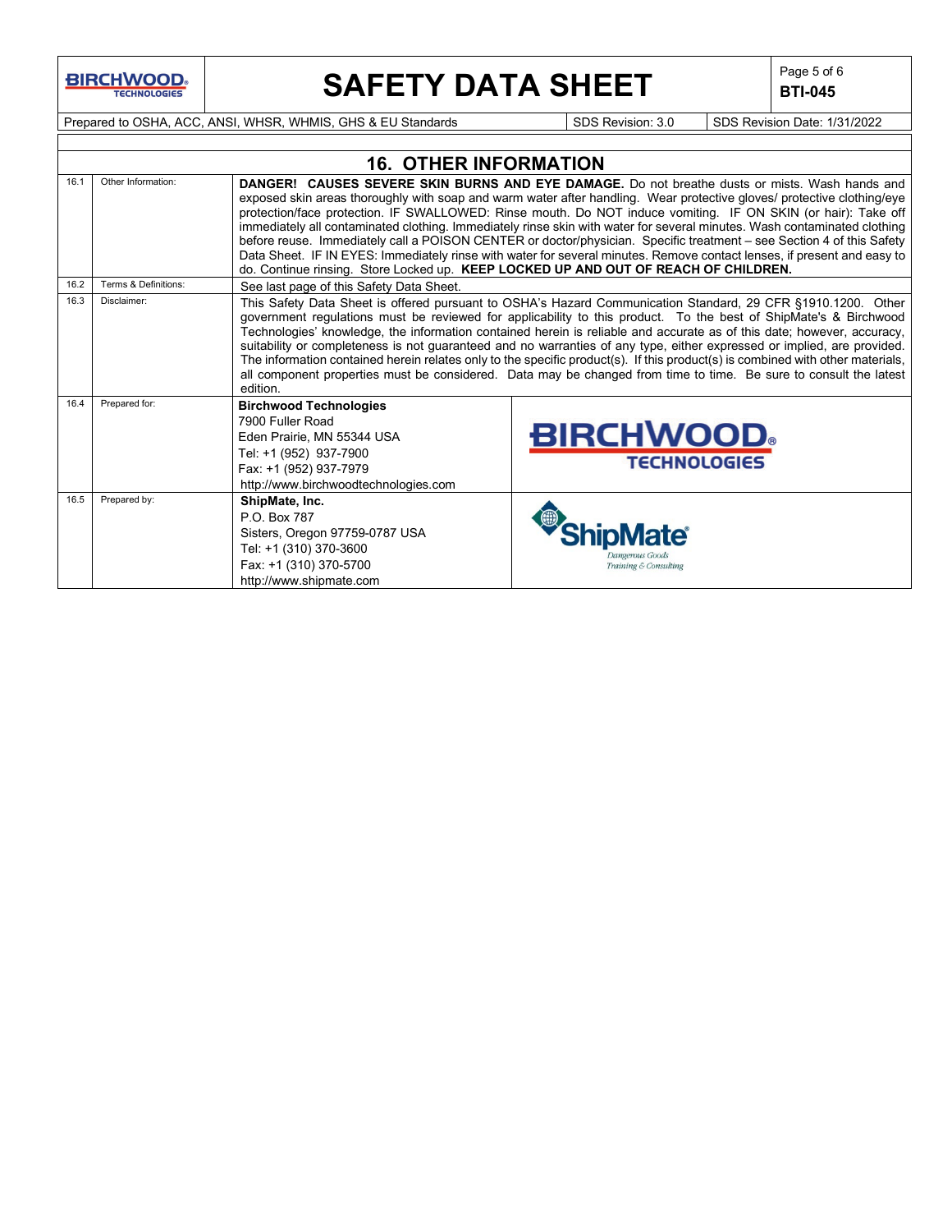

# **SAFETY DATA SHEET**  $\left|\begin{array}{cc} \text{Page 5 of 6} \\ \text{BIT-045} \end{array}\right|$

**BTI-045**

Prepared to OSHA, ACC, ANSI, WHSR, WHMIS, GHS & EU Standards Superinted SDS Revision: 3.0 SDS Revision Date: 1/31/2022

|      |                      | <b>16. OTHER INFORMATION</b>                                                                                                                                                |                                                                                                                                                                                                                                                                                                                                                                                                                                                                                                                                                                                                                                                                                                                                                                                                                         |
|------|----------------------|-----------------------------------------------------------------------------------------------------------------------------------------------------------------------------|-------------------------------------------------------------------------------------------------------------------------------------------------------------------------------------------------------------------------------------------------------------------------------------------------------------------------------------------------------------------------------------------------------------------------------------------------------------------------------------------------------------------------------------------------------------------------------------------------------------------------------------------------------------------------------------------------------------------------------------------------------------------------------------------------------------------------|
| 16.1 | Other Information:   |                                                                                                                                                                             | <b>DANGER! CAUSES SEVERE SKIN BURNS AND EYE DAMAGE.</b> Do not breathe dusts or mists. Wash hands and<br>exposed skin areas thoroughly with soap and warm water after handling. Wear protective gloves/ protective clothing/eye<br>protection/face protection. IF SWALLOWED: Rinse mouth. Do NOT induce vomiting. IF ON SKIN (or hair): Take off<br>immediately all contaminated clothing. Immediately rinse skin with water for several minutes. Wash contaminated clothing<br>before reuse. Immediately call a POISON CENTER or doctor/physician. Specific treatment - see Section 4 of this Safety<br>Data Sheet. IF IN EYES: Immediately rinse with water for several minutes. Remove contact lenses, if present and easy to<br>do. Continue rinsing. Store Locked up. KEEP LOCKED UP AND OUT OF REACH OF CHILDREN. |
| 16.2 | Terms & Definitions: | See last page of this Safety Data Sheet.                                                                                                                                    |                                                                                                                                                                                                                                                                                                                                                                                                                                                                                                                                                                                                                                                                                                                                                                                                                         |
| 16.3 | Disclaimer:          | edition.                                                                                                                                                                    | This Safety Data Sheet is offered pursuant to OSHA's Hazard Communication Standard, 29 CFR §1910.1200. Other<br>government regulations must be reviewed for applicability to this product. To the best of ShipMate's & Birchwood<br>Technologies' knowledge, the information contained herein is reliable and accurate as of this date; however, accuracy,<br>suitability or completeness is not guaranteed and no warranties of any type, either expressed or implied, are provided.<br>The information contained herein relates only to the specific product(s). If this product(s) is combined with other materials,<br>all component properties must be considered. Data may be changed from time to time. Be sure to consult the latest                                                                            |
| 16.4 | Prepared for:        | <b>Birchwood Technologies</b><br>7900 Fuller Road<br>Eden Prairie, MN 55344 USA<br>Tel: +1 (952) 937-7900<br>Fax: +1 (952) 937-7979<br>http://www.birchwoodtechnologies.com | <b>BIRCHWOOD</b><br><b>TECHNOLOGIES</b>                                                                                                                                                                                                                                                                                                                                                                                                                                                                                                                                                                                                                                                                                                                                                                                 |
| 16.5 | Prepared by:         | ShipMate, Inc.<br>P.O. Box 787<br>Sisters, Oregon 97759-0787 USA<br>Tel: +1 (310) 370-3600<br>Fax: +1 (310) 370-5700<br>http://www.shipmate.com                             | Training & Consulting                                                                                                                                                                                                                                                                                                                                                                                                                                                                                                                                                                                                                                                                                                                                                                                                   |